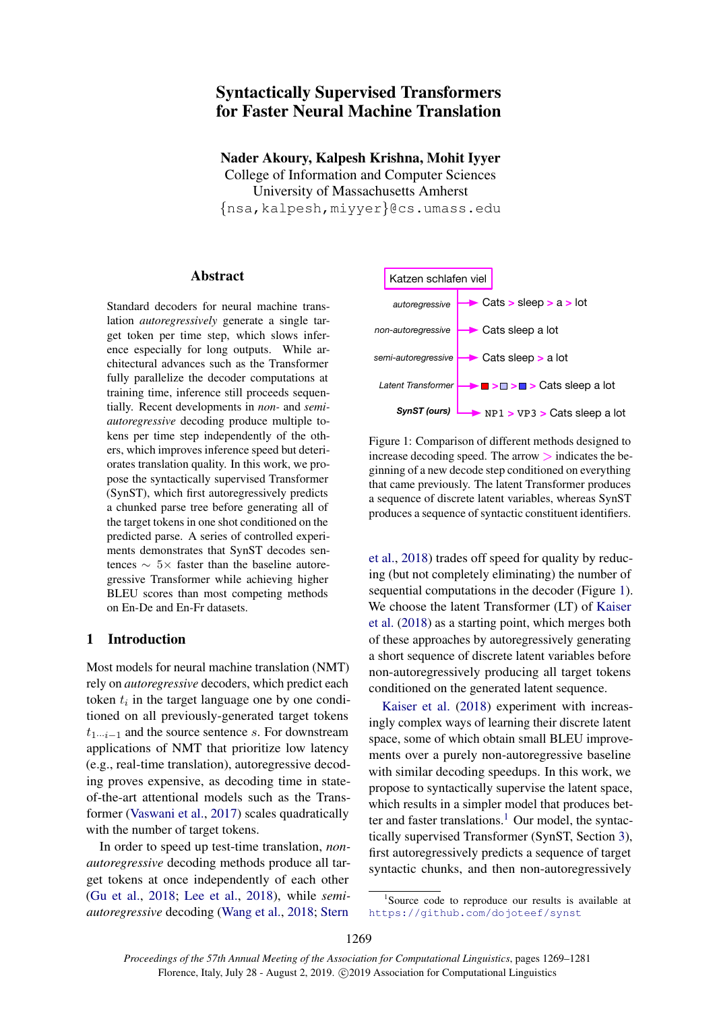# Syntactically Supervised Transformers for Faster Neural Machine Translation

Nader Akoury, Kalpesh Krishna, Mohit Iyyer College of Information and Computer Sciences University of Massachusetts Amherst {nsa,kalpesh,miyyer}@cs.umass.edu

### Abstract

Standard decoders for neural machine translation *autoregressively* generate a single target token per time step, which slows inference especially for long outputs. While architectural advances such as the Transformer fully parallelize the decoder computations at training time, inference still proceeds sequentially. Recent developments in *non-* and *semiautoregressive* decoding produce multiple tokens per time step independently of the others, which improves inference speed but deteriorates translation quality. In this work, we propose the syntactically supervised Transformer (SynST), which first autoregressively predicts a chunked parse tree before generating all of the target tokens in one shot conditioned on the predicted parse. A series of controlled experiments demonstrates that SynST decodes sentences  $\sim 5 \times$  faster than the baseline autoregressive Transformer while achieving higher BLEU scores than most competing methods on En-De and En-Fr datasets.

### 1 Introduction

Most models for neural machine translation (NMT) rely on *autoregressive* decoders, which predict each token  $t_i$  in the target language one by one conditioned on all previously-generated target tokens  $t_{1\cdots i-1}$  and the source sentence s. For downstream applications of NMT that prioritize low latency (e.g., real-time translation), autoregressive decoding proves expensive, as decoding time in stateof-the-art attentional models such as the Transformer [\(Vaswani et al.,](#page-10-0) [2017\)](#page-10-0) scales quadratically with the number of target tokens.

In order to speed up test-time translation, *nonautoregressive* decoding methods produce all target tokens at once independently of each other [\(Gu et al.,](#page-9-0) [2018;](#page-9-0) [Lee et al.,](#page-9-1) [2018\)](#page-9-1), while *semiautoregressive* decoding [\(Wang et al.,](#page-10-1) [2018;](#page-10-1) [Stern](#page-10-2)

<span id="page-0-0"></span>

Figure 1: Comparison of different methods designed to increase decoding speed. The arrow  $>$  indicates the beginning of a new decode step conditioned on everything that came previously. The latent Transformer produces a sequence of discrete latent variables, whereas SynST produces a sequence of syntactic constituent identifiers.

[et al.,](#page-10-2) [2018\)](#page-10-2) trades off speed for quality by reducing (but not completely eliminating) the number of sequential computations in the decoder (Figure [1\)](#page-0-0). We choose the latent Transformer (LT) of [Kaiser](#page-9-2) [et al.](#page-9-2) [\(2018\)](#page-9-2) as a starting point, which merges both of these approaches by autoregressively generating a short sequence of discrete latent variables before non-autoregressively producing all target tokens conditioned on the generated latent sequence.

[Kaiser et al.](#page-9-2) [\(2018\)](#page-9-2) experiment with increasingly complex ways of learning their discrete latent space, some of which obtain small BLEU improvements over a purely non-autoregressive baseline with similar decoding speedups. In this work, we propose to syntactically supervise the latent space, which results in a simpler model that produces bet-ter and faster translations.<sup>[1](#page-0-1)</sup> Our model, the syntactically supervised Transformer (SynST, Section [3\)](#page-3-0), first autoregressively predicts a sequence of target syntactic chunks, and then non-autoregressively

<span id="page-0-1"></span><sup>&</sup>lt;sup>1</sup>Source code to reproduce our results is available at <https://github.com/dojoteef/synst>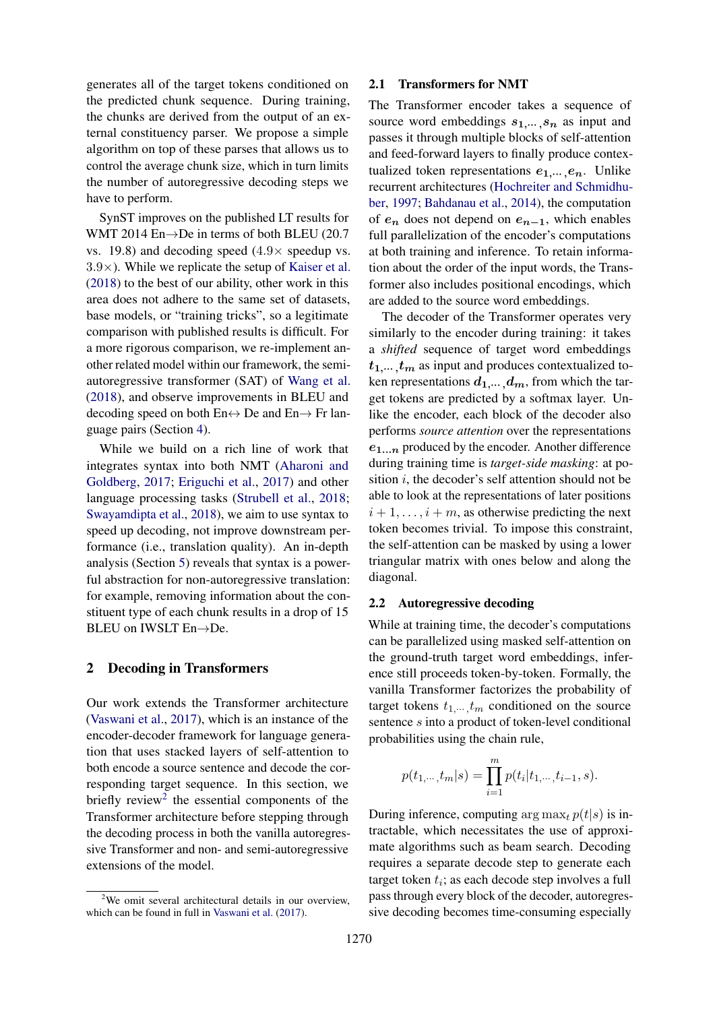generates all of the target tokens conditioned on the predicted chunk sequence. During training, the chunks are derived from the output of an external constituency parser. We propose a simple algorithm on top of these parses that allows us to control the average chunk size, which in turn limits the number of autoregressive decoding steps we have to perform.

SynST improves on the published LT results for WMT 2014 En→De in terms of both BLEU (20.7 vs. 19.8) and decoding speed  $(4.9 \times$  speedup vs.  $3.9\times$ ). While we replicate the setup of [Kaiser et al.](#page-9-2) [\(2018\)](#page-9-2) to the best of our ability, other work in this area does not adhere to the same set of datasets, base models, or "training tricks", so a legitimate comparison with published results is difficult. For a more rigorous comparison, we re-implement another related model within our framework, the semiautoregressive transformer (SAT) of [Wang et al.](#page-10-1) [\(2018\)](#page-10-1), and observe improvements in BLEU and decoding speed on both  $En \leftrightarrow De$  and  $En \rightarrow Fr$  language pairs (Section [4\)](#page-4-0).

While we build on a rich line of work that integrates syntax into both NMT [\(Aharoni and](#page-9-3) [Goldberg,](#page-9-3) [2017;](#page-9-3) [Eriguchi et al.,](#page-9-4) [2017\)](#page-9-4) and other language processing tasks [\(Strubell et al.,](#page-10-3) [2018;](#page-10-3) [Swayamdipta et al.,](#page-10-4) [2018\)](#page-10-4), we aim to use syntax to speed up decoding, not improve downstream performance (i.e., translation quality). An in-depth analysis (Section [5\)](#page-6-0) reveals that syntax is a powerful abstraction for non-autoregressive translation: for example, removing information about the constituent type of each chunk results in a drop of 15 BLEU on IWSLT En→De.

#### <span id="page-1-1"></span>2 Decoding in Transformers

Our work extends the Transformer architecture [\(Vaswani et al.,](#page-10-0) [2017\)](#page-10-0), which is an instance of the encoder-decoder framework for language generation that uses stacked layers of self-attention to both encode a source sentence and decode the corresponding target sequence. In this section, we briefly review<sup>[2](#page-1-0)</sup> the essential components of the Transformer architecture before stepping through the decoding process in both the vanilla autoregressive Transformer and non- and semi-autoregressive extensions of the model.

#### 2.1 Transformers for NMT

The Transformer encoder takes a sequence of source word embeddings  $s_1, \ldots, s_n$  as input and passes it through multiple blocks of self-attention and feed-forward layers to finally produce contextualized token representations  $e_1, \ldots, e_n$ . Unlike recurrent architectures [\(Hochreiter and Schmidhu](#page-9-5)[ber,](#page-9-5) [1997;](#page-9-5) [Bahdanau et al.,](#page-9-6) [2014\)](#page-9-6), the computation of  $e_n$  does not depend on  $e_{n-1}$ , which enables full parallelization of the encoder's computations at both training and inference. To retain information about the order of the input words, the Transformer also includes positional encodings, which are added to the source word embeddings.

The decoder of the Transformer operates very similarly to the encoder during training: it takes a *shifted* sequence of target word embeddings  $t_1,...,t_m$  as input and produces contextualized token representations  $d_1, \ldots, d_m$ , from which the target tokens are predicted by a softmax layer. Unlike the encoder, each block of the decoder also performs *source attention* over the representations  $e_{1...n}$  produced by the encoder. Another difference during training time is *target-side masking*: at position  $i$ , the decoder's self attention should not be able to look at the representations of later positions  $i + 1, \ldots, i + m$ , as otherwise predicting the next token becomes trivial. To impose this constraint, the self-attention can be masked by using a lower triangular matrix with ones below and along the diagonal.

#### 2.2 Autoregressive decoding

While at training time, the decoder's computations can be parallelized using masked self-attention on the ground-truth target word embeddings, inference still proceeds token-by-token. Formally, the vanilla Transformer factorizes the probability of target tokens  $t_1...t_m$  conditioned on the source sentence s into a product of token-level conditional probabilities using the chain rule,

$$
p(t_{1,\dots}, t_m|s) = \prod_{i=1}^m p(t_i|t_{1,\dots}, t_{i-1}, s).
$$

During inference, computing  $\arg \max_t p(t|s)$  is intractable, which necessitates the use of approximate algorithms such as beam search. Decoding requires a separate decode step to generate each target token  $t_i$ ; as each decode step involves a full pass through every block of the decoder, autoregressive decoding becomes time-consuming especially

<span id="page-1-0"></span> $2$ We omit several architectural details in our overview. which can be found in full in [Vaswani et al.](#page-10-0) [\(2017\)](#page-10-0).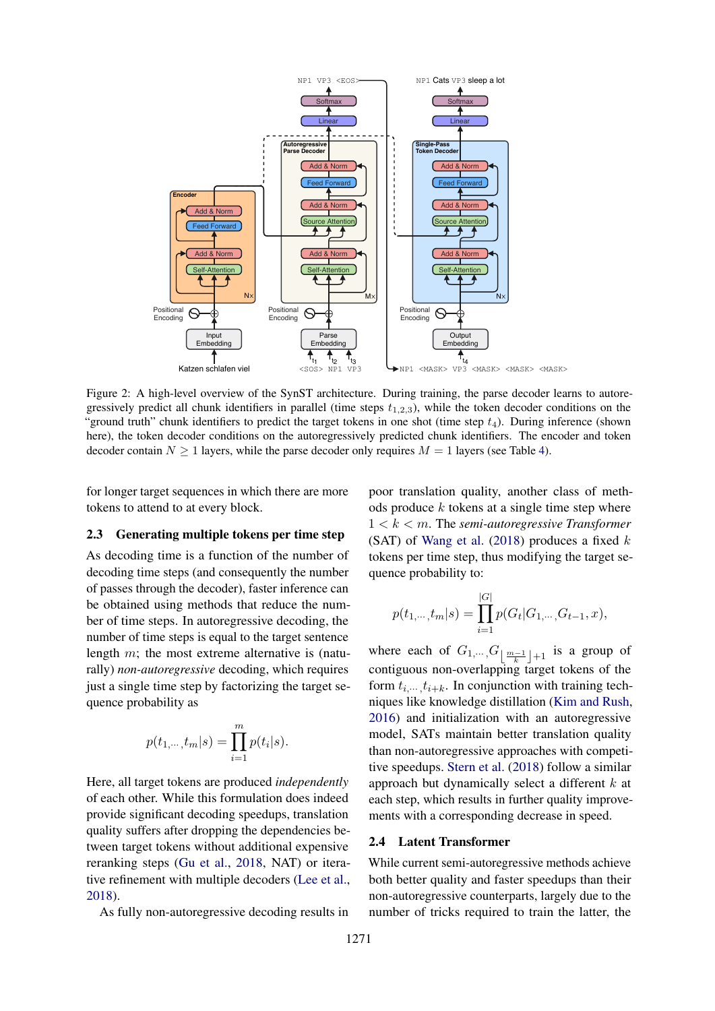<span id="page-2-0"></span>

Figure 2: A high-level overview of the SynST architecture. During training, the parse decoder learns to autoregressively predict all chunk identifiers in parallel (time steps  $t_{1,2,3}$ ), while the token decoder conditions on the "ground truth" chunk identifiers to predict the target tokens in one shot (time step  $t_4$ ). During inference (shown here), the token decoder conditions on the autoregressively predicted chunk identifiers. The encoder and token decoder contain  $N \ge 1$  layers, while the parse decoder only requires  $M = 1$  layers (see Table [4\)](#page-7-0).

for longer target sequences in which there are more tokens to attend to at every block.

#### 2.3 Generating multiple tokens per time step

As decoding time is a function of the number of decoding time steps (and consequently the number of passes through the decoder), faster inference can be obtained using methods that reduce the number of time steps. In autoregressive decoding, the number of time steps is equal to the target sentence length m; the most extreme alternative is (naturally) *non-autoregressive* decoding, which requires just a single time step by factorizing the target sequence probability as

$$
p(t_{1,\cdots, t_m}|s) = \prod_{i=1}^m p(t_i|s).
$$

Here, all target tokens are produced *independently* of each other. While this formulation does indeed provide significant decoding speedups, translation quality suffers after dropping the dependencies between target tokens without additional expensive reranking steps [\(Gu et al.,](#page-9-0) [2018,](#page-9-0) NAT) or iterative refinement with multiple decoders [\(Lee et al.,](#page-9-1) [2018\)](#page-9-1).

As fully non-autoregressive decoding results in

poor translation quality, another class of methods produce  $k$  tokens at a single time step where 1 < k < m. The *semi-autoregressive Transformer* (SAT) of [Wang et al.](#page-10-1)  $(2018)$  produces a fixed k tokens per time step, thus modifying the target sequence probability to:

$$
p(t_{1,\dots, t_m}|s) = \prod_{i=1}^{|G|} p(G_t|G_{1,\dots, G_{t-1}, x),
$$

where each of  $G_{1,\dots,G}$   $\lfloor \frac{m-1}{k} \rfloor +1$  is a group of contiguous non-overlapping target tokens of the form  $t_i$ <sub>....</sub>,  $t_{i+k}$ . In conjunction with training techniques like knowledge distillation [\(Kim and Rush,](#page-9-7) [2016\)](#page-9-7) and initialization with an autoregressive model, SATs maintain better translation quality than non-autoregressive approaches with competitive speedups. [Stern et al.](#page-10-2) [\(2018\)](#page-10-2) follow a similar approach but dynamically select a different  $k$  at each step, which results in further quality improvements with a corresponding decrease in speed.

#### 2.4 Latent Transformer

While current semi-autoregressive methods achieve both better quality and faster speedups than their non-autoregressive counterparts, largely due to the number of tricks required to train the latter, the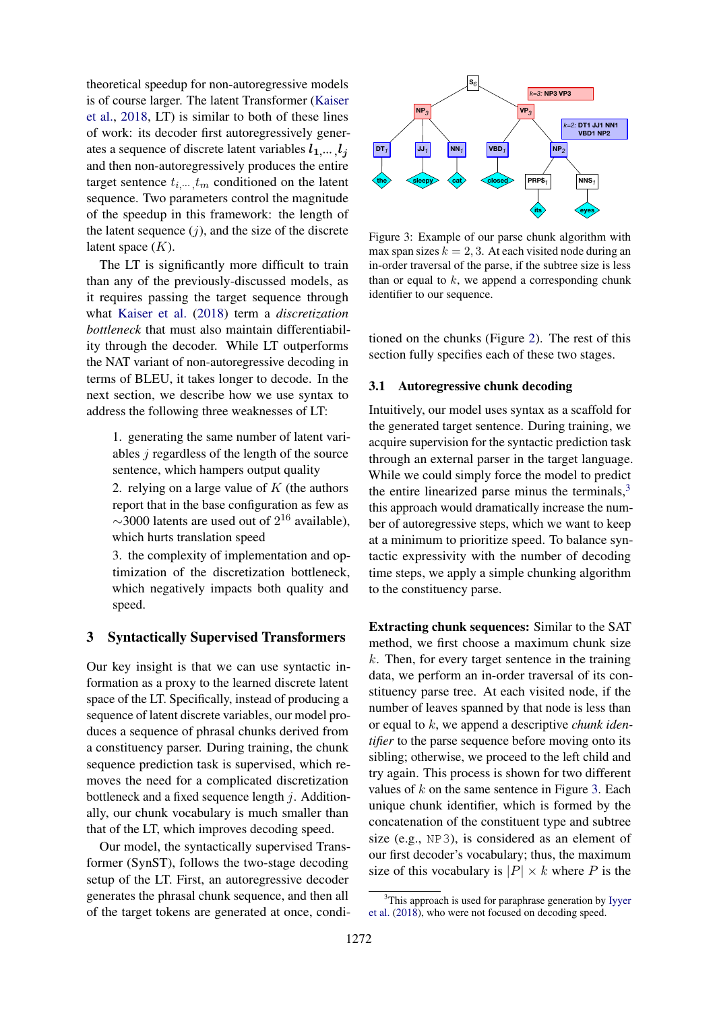theoretical speedup for non-autoregressive models is of course larger. The latent Transformer [\(Kaiser](#page-9-2) [et al.,](#page-9-2) [2018,](#page-9-2) LT) is similar to both of these lines of work: its decoder first autoregressively generates a sequence of discrete latent variables  $l_1, \ldots, l_j$ and then non-autoregressively produces the entire target sentence  $t_{i,\cdots,t_m}$  conditioned on the latent sequence. Two parameters control the magnitude of the speedup in this framework: the length of the latent sequence  $(j)$ , and the size of the discrete latent space  $(K)$ .

The LT is significantly more difficult to train than any of the previously-discussed models, as it requires passing the target sequence through what [Kaiser et al.](#page-9-2) [\(2018\)](#page-9-2) term a *discretization bottleneck* that must also maintain differentiability through the decoder. While LT outperforms the NAT variant of non-autoregressive decoding in terms of BLEU, it takes longer to decode. In the next section, we describe how we use syntax to address the following three weaknesses of LT:

1. generating the same number of latent variables  $j$  regardless of the length of the source sentence, which hampers output quality

2. relying on a large value of  $K$  (the authors report that in the base configuration as few as  $\sim$ 3000 latents are used out of  $2^{16}$  available), which hurts translation speed

3. the complexity of implementation and optimization of the discretization bottleneck, which negatively impacts both quality and speed.

### <span id="page-3-0"></span>3 Syntactically Supervised Transformers

Our key insight is that we can use syntactic information as a proxy to the learned discrete latent space of the LT. Specifically, instead of producing a sequence of latent discrete variables, our model produces a sequence of phrasal chunks derived from a constituency parser. During training, the chunk sequence prediction task is supervised, which removes the need for a complicated discretization bottleneck and a fixed sequence length  $j$ . Additionally, our chunk vocabulary is much smaller than that of the LT, which improves decoding speed.

Our model, the syntactically supervised Transformer (SynST), follows the two-stage decoding setup of the LT. First, an autoregressive decoder generates the phrasal chunk sequence, and then all of the target tokens are generated at once, condi-

<span id="page-3-2"></span>

Figure 3: Example of our parse chunk algorithm with max span sizes  $k = 2, 3$ . At each visited node during an in-order traversal of the parse, if the subtree size is less than or equal to  $k$ , we append a corresponding chunk identifier to our sequence.

tioned on the chunks (Figure [2\)](#page-2-0). The rest of this section fully specifies each of these two stages.

#### 3.1 Autoregressive chunk decoding

Intuitively, our model uses syntax as a scaffold for the generated target sentence. During training, we acquire supervision for the syntactic prediction task through an external parser in the target language. While we could simply force the model to predict the entire linearized parse minus the terminals, $3$ this approach would dramatically increase the number of autoregressive steps, which we want to keep at a minimum to prioritize speed. To balance syntactic expressivity with the number of decoding time steps, we apply a simple chunking algorithm to the constituency parse.

Extracting chunk sequences: Similar to the SAT method, we first choose a maximum chunk size  $k$ . Then, for every target sentence in the training data, we perform an in-order traversal of its constituency parse tree. At each visited node, if the number of leaves spanned by that node is less than or equal to k, we append a descriptive *chunk identifier* to the parse sequence before moving onto its sibling; otherwise, we proceed to the left child and try again. This process is shown for two different values of  $k$  on the same sentence in Figure [3.](#page-3-2) Each unique chunk identifier, which is formed by the concatenation of the constituent type and subtree size (e.g., NP3), is considered as an element of our first decoder's vocabulary; thus, the maximum size of this vocabulary is  $|P| \times k$  where P is the

<span id="page-3-1"></span><sup>&</sup>lt;sup>3</sup>This approach is used for paraphrase generation by [Iyyer](#page-9-8) [et al.](#page-9-8) [\(2018\)](#page-9-8), who were not focused on decoding speed.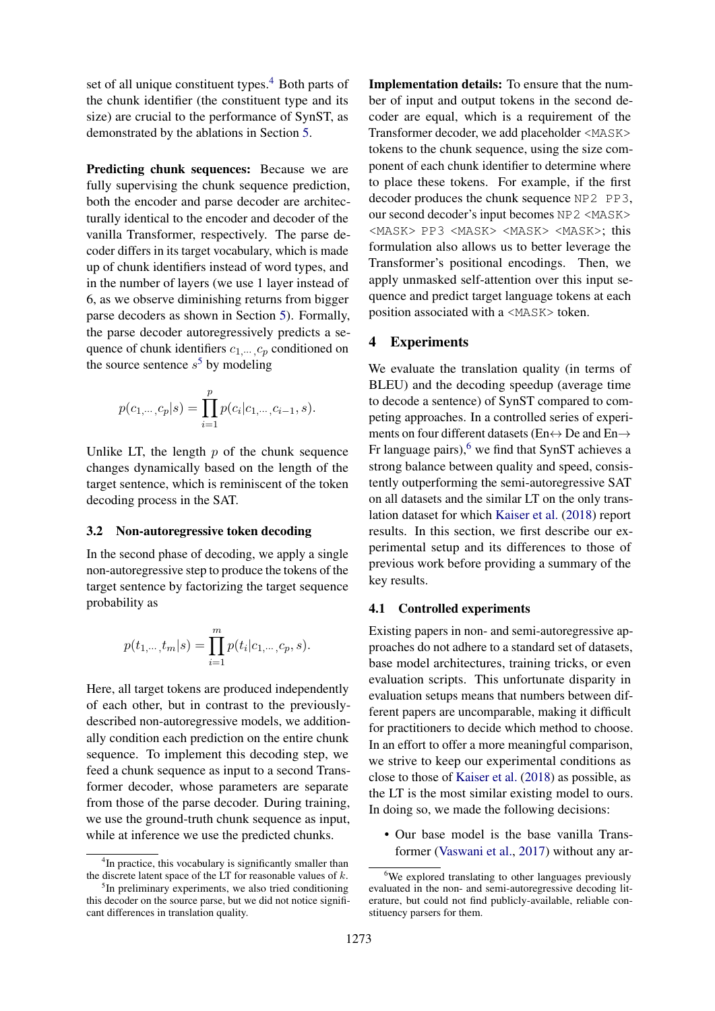set of all unique constituent types.<sup>[4](#page-4-1)</sup> Both parts of the chunk identifier (the constituent type and its size) are crucial to the performance of SynST, as demonstrated by the ablations in Section [5.](#page-6-0)

Predicting chunk sequences: Because we are fully supervising the chunk sequence prediction, both the encoder and parse decoder are architecturally identical to the encoder and decoder of the vanilla Transformer, respectively. The parse decoder differs in its target vocabulary, which is made up of chunk identifiers instead of word types, and in the number of layers (we use 1 layer instead of 6, as we observe diminishing returns from bigger parse decoders as shown in Section [5\)](#page-6-0). Formally, the parse decoder autoregressively predicts a sequence of chunk identifiers  $c_1, \ldots, c_p$  conditioned on the source sentence  $s^5$  $s^5$  by modeling

$$
p(c_{1,\dots,c_p}|s) = \prod_{i=1}^p p(c_i|c_{1,\dots,c_{i-1},s).
$$

Unlike LT, the length  $p$  of the chunk sequence changes dynamically based on the length of the target sentence, which is reminiscent of the token decoding process in the SAT.

#### 3.2 Non-autoregressive token decoding

In the second phase of decoding, we apply a single non-autoregressive step to produce the tokens of the target sentence by factorizing the target sequence probability as

$$
p(t_{1,\dots, t_m}|s) = \prod_{i=1}^m p(t_i|c_{1,\dots, c_p, s).
$$

Here, all target tokens are produced independently of each other, but in contrast to the previouslydescribed non-autoregressive models, we additionally condition each prediction on the entire chunk sequence. To implement this decoding step, we feed a chunk sequence as input to a second Transformer decoder, whose parameters are separate from those of the parse decoder. During training, we use the ground-truth chunk sequence as input, while at inference we use the predicted chunks.

Implementation details: To ensure that the number of input and output tokens in the second decoder are equal, which is a requirement of the Transformer decoder, we add placeholder <MASK> tokens to the chunk sequence, using the size component of each chunk identifier to determine where to place these tokens. For example, if the first decoder produces the chunk sequence NP2 PP3, our second decoder's input becomes NP2 <MASK> <MASK> PP3 <MASK> <MASK> <MASK>; this formulation also allows us to better leverage the Transformer's positional encodings. Then, we apply unmasked self-attention over this input sequence and predict target language tokens at each position associated with a <MASK> token.

### <span id="page-4-0"></span>4 Experiments

We evaluate the translation quality (in terms of BLEU) and the decoding speedup (average time to decode a sentence) of SynST compared to competing approaches. In a controlled series of experiments on four different datasets (En↔ De and En→ Fr language pairs), $6$  we find that SynST achieves a strong balance between quality and speed, consistently outperforming the semi-autoregressive SAT on all datasets and the similar LT on the only translation dataset for which [Kaiser et al.](#page-9-2) [\(2018\)](#page-9-2) report results. In this section, we first describe our experimental setup and its differences to those of previous work before providing a summary of the key results.

#### 4.1 Controlled experiments

Existing papers in non- and semi-autoregressive approaches do not adhere to a standard set of datasets, base model architectures, training tricks, or even evaluation scripts. This unfortunate disparity in evaluation setups means that numbers between different papers are uncomparable, making it difficult for practitioners to decide which method to choose. In an effort to offer a more meaningful comparison, we strive to keep our experimental conditions as close to those of [Kaiser et al.](#page-9-2) [\(2018\)](#page-9-2) as possible, as the LT is the most similar existing model to ours. In doing so, we made the following decisions:

• Our base model is the base vanilla Transformer [\(Vaswani et al.,](#page-10-0) [2017\)](#page-10-0) without any ar-

<span id="page-4-1"></span><sup>&</sup>lt;sup>4</sup>In practice, this vocabulary is significantly smaller than the discrete latent space of the LT for reasonable values of  $k$ .

<span id="page-4-2"></span><sup>&</sup>lt;sup>5</sup>In preliminary experiments, we also tried conditioning this decoder on the source parse, but we did not notice significant differences in translation quality.

<span id="page-4-3"></span><sup>&</sup>lt;sup>6</sup>We explored translating to other languages previously evaluated in the non- and semi-autoregressive decoding literature, but could not find publicly-available, reliable constituency parsers for them.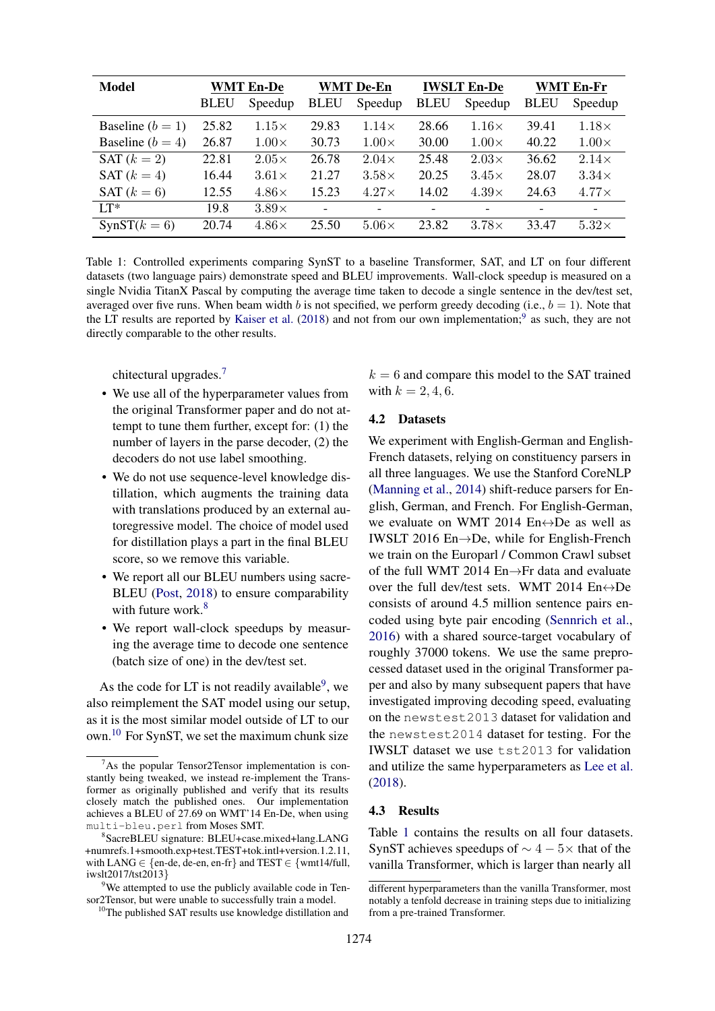<span id="page-5-4"></span>

| <b>Model</b>       | <b>WMT En-De</b> |              | <b>WMT De-En</b>         |                          | <b>IWSLT En-De</b> |                          | WMT En-Fr   |                          |
|--------------------|------------------|--------------|--------------------------|--------------------------|--------------------|--------------------------|-------------|--------------------------|
|                    | <b>BLEU</b>      | Speedup      | <b>BLEU</b>              | Speedup                  | <b>BLEU</b>        | Speedup                  | <b>BLEU</b> | Speedup                  |
| Baseline $(b = 1)$ | 25.82            | $1.15\times$ | 29.83                    | $1.14\times$             | 28.66              | $1.16\times$             | 39.41       | $1.18\times$             |
| Baseline $(b = 4)$ | 26.87            | $1.00\times$ | 30.73                    | $1.00\times$             | 30.00              | $1.00\times$             | 40.22       | $1.00\times$             |
| SAT $(k=2)$        | 22.81            | $2.05\times$ | 26.78                    | $2.04\times$             | 25.48              | $2.03\times$             | 36.62       | $2.14\times$             |
| SAT $(k=4)$        | 16.44            | $3.61\times$ | 21.27                    | $3.58\times$             | 20.25              | $3.45\times$             | 28.07       | $3.34\times$             |
| SAT $(k=6)$        | 12.55            | $4.86\times$ | 15.23                    | $4.27\times$             | 14.02              | $4.39\times$             | 24.63       | $4.77\times$             |
| $IT^*$             | 19.8             | $3.89\times$ | $\overline{\phantom{a}}$ | $\overline{\phantom{0}}$ | -                  | $\overline{\phantom{a}}$ |             | $\overline{\phantom{a}}$ |
| $SynST(k = 6)$     | 20.74            | $4.86\times$ | 25.50                    | $5.06\times$             | 23.82              | $3.78\times$             | 33.47       | $5.32\times$             |

Table 1: Controlled experiments comparing SynST to a baseline Transformer, SAT, and LT on four different datasets (two language pairs) demonstrate speed and BLEU improvements. Wall-clock speedup is measured on a single Nvidia TitanX Pascal by computing the average time taken to decode a single sentence in the dev/test set, averaged over five runs. When beam width b is not specified, we perform greedy decoding (i.e.,  $b = 1$ ). Note that the LT results are reported by [Kaiser et al.](#page-9-2) [\(2018\)](#page-9-2) and not from our own implementation;<sup>[9](#page-5-0)</sup> as such, they are not directly comparable to the other results.

chitectural upgrades.[7](#page-5-1)

- We use all of the hyperparameter values from the original Transformer paper and do not attempt to tune them further, except for: (1) the number of layers in the parse decoder, (2) the decoders do not use label smoothing.
- We do not use sequence-level knowledge distillation, which augments the training data with translations produced by an external autoregressive model. The choice of model used for distillation plays a part in the final BLEU score, so we remove this variable.
- We report all our BLEU numbers using sacre-BLEU [\(Post,](#page-9-9) [2018\)](#page-9-9) to ensure comparability with future work.<sup>[8](#page-5-2)</sup>
- We report wall-clock speedups by measuring the average time to decode one sentence (batch size of one) in the dev/test set.

As the code for LT is not readily available<sup>[9](#page-5-0)</sup>, we also reimplement the SAT model using our setup, as it is the most similar model outside of LT to our own.[10](#page-5-3) For SynST, we set the maximum chunk size  $k = 6$  and compare this model to the SAT trained with  $k = 2, 4, 6$ .

#### 4.2 Datasets

We experiment with English-German and English-French datasets, relying on constituency parsers in all three languages. We use the Stanford CoreNLP [\(Manning et al.,](#page-9-10) [2014\)](#page-9-10) shift-reduce parsers for English, German, and French. For English-German, we evaluate on WMT 2014 En↔De as well as IWSLT 2016 En→De, while for English-French we train on the Europarl / Common Crawl subset of the full WMT 2014 En→Fr data and evaluate over the full dev/test sets. WMT 2014  $En \leftrightarrow De$ consists of around 4.5 million sentence pairs encoded using byte pair encoding [\(Sennrich et al.,](#page-10-5) [2016\)](#page-10-5) with a shared source-target vocabulary of roughly 37000 tokens. We use the same preprocessed dataset used in the original Transformer paper and also by many subsequent papers that have investigated improving decoding speed, evaluating on the newstest2013 dataset for validation and the newstest2014 dataset for testing. For the IWSLT dataset we use tst2013 for validation and utilize the same hyperparameters as [Lee et al.](#page-9-1) [\(2018\)](#page-9-1).

#### 4.3 Results

Table [1](#page-5-4) contains the results on all four datasets. SynST achieves speedups of  $\sim$  4 − 5 $\times$  that of the vanilla Transformer, which is larger than nearly all

<span id="page-5-1"></span> $7As$  the popular Tensor2Tensor implementation is constantly being tweaked, we instead re-implement the Transformer as originally published and verify that its results closely match the published ones. Our implementation achieves a BLEU of 27.69 on WMT'14 En-De, when using multi-bleu.perl from Moses SMT.

<span id="page-5-2"></span><sup>8</sup> SacreBLEU signature: BLEU+case.mixed+lang.LANG +numrefs.1+smooth.exp+test.TEST+tok.intl+version.1.2.11, with LANG  $\in$  {en-de, de-en, en-fr} and TEST  $\in$  {wmt14/full, iwslt2017/tst2013}

<span id="page-5-0"></span><sup>&</sup>lt;sup>9</sup>We attempted to use the publicly available code in Tensor2Tensor, but were unable to successfully train a model.

<span id="page-5-3"></span><sup>&</sup>lt;sup>10</sup>The published SAT results use knowledge distillation and

different hyperparameters than the vanilla Transformer, most notably a tenfold decrease in training steps due to initializing from a pre-trained Transformer.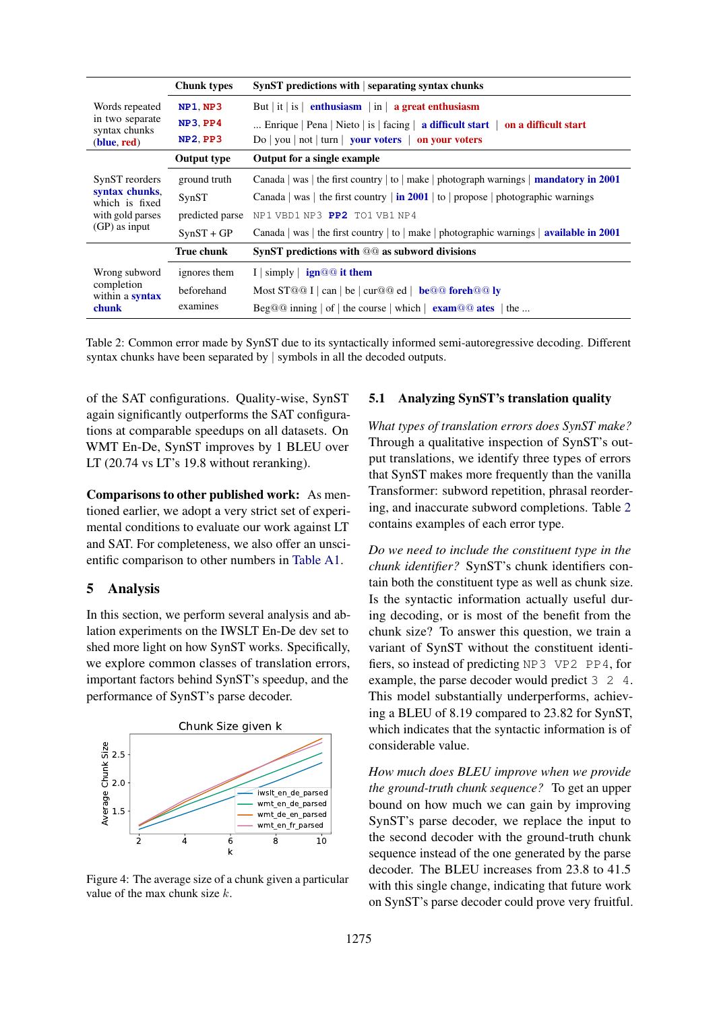<span id="page-6-1"></span>

|                                                                         | <b>Chunk types</b> | $SynST$ predictions with $ $ separating syntax chunks                                           |  |  |  |  |
|-------------------------------------------------------------------------|--------------------|-------------------------------------------------------------------------------------------------|--|--|--|--|
| Words repeated                                                          | <b>NP1, NP3</b>    | But   it   is   enthusiasm   in   a great enthusiasm                                            |  |  |  |  |
| in two separate<br>syntax chunks                                        | NP3.PP4            | Enrique   Pena   Nieto   is   facing   a difficult start   on a difficult start                 |  |  |  |  |
| (blue, red)                                                             | <b>NP2, PP3</b>    | $Do   you   not   turn   your voters   on your voters$                                          |  |  |  |  |
|                                                                         | <b>Output type</b> | Output for a single example                                                                     |  |  |  |  |
| SynST reorders                                                          | ground truth       | Canada   was   the first country   to   make   photograph warnings   <b>mandatory in 2001</b>   |  |  |  |  |
| syntax chunks,<br>which is fixed<br>with gold parses<br>$(GP)$ as input | SynST              | Canada   was   the first country   in 2001   to   propose   photographic warnings               |  |  |  |  |
|                                                                         | predicted parse    | NP1 VBD1 NP3 PP2 TO1 VB1 NP4                                                                    |  |  |  |  |
|                                                                         | $SynST + GP$       | Canada   was   the first country   to   make   photographic warnings   <b>available in 2001</b> |  |  |  |  |
|                                                                         | <b>True chunk</b>  | SynST predictions with @@ as subword divisions                                                  |  |  |  |  |
| Wrong subword                                                           | ignores them       | I $\vert$ simply $\vert$ ign@@ it them                                                          |  |  |  |  |
| completion<br>within a <b>syntax</b>                                    | beforehand         | Most $ST@@I  can   be   cur@@ed $ <b>be</b> $@@foreh@@ly$                                       |  |  |  |  |
| chunk                                                                   | examines           | Beg@@ inning $ $ of $ $ the course $ $ which $ $ exam@@ ates $ $ the                            |  |  |  |  |

Table 2: Common error made by SynST due to its syntactically informed semi-autoregressive decoding. Different syntax chunks have been separated by | symbols in all the decoded outputs.

of the SAT configurations. Quality-wise, SynST again significantly outperforms the SAT configurations at comparable speedups on all datasets. On WMT En-De, SynST improves by 1 BLEU over LT (20.74 vs LT's 19.8 without reranking).

Comparisons to other published work: As mentioned earlier, we adopt a very strict set of experimental conditions to evaluate our work against LT and SAT. For completeness, we also offer an unscientific comparison to other numbers in [Table A1.](#page-11-0)

#### <span id="page-6-0"></span>5 Analysis

In this section, we perform several analysis and ablation experiments on the IWSLT En-De dev set to shed more light on how SynST works. Specifically, we explore common classes of translation errors, important factors behind SynST's speedup, and the performance of SynST's parse decoder.

<span id="page-6-2"></span>

Figure 4: The average size of a chunk given a particular value of the max chunk size  $k$ .

#### 5.1 Analyzing SynST's translation quality

*What types of translation errors does SynST make?* Through a qualitative inspection of SynST's output translations, we identify three types of errors that SynST makes more frequently than the vanilla Transformer: subword repetition, phrasal reordering, and inaccurate subword completions. Table [2](#page-6-1) contains examples of each error type.

*Do we need to include the constituent type in the chunk identifier?* SynST's chunk identifiers contain both the constituent type as well as chunk size. Is the syntactic information actually useful during decoding, or is most of the benefit from the chunk size? To answer this question, we train a variant of SynST without the constituent identifiers, so instead of predicting NP3 VP2 PP4, for example, the parse decoder would predict 3 2 4. This model substantially underperforms, achieving a BLEU of 8.19 compared to 23.82 for SynST, which indicates that the syntactic information is of considerable value.

*How much does BLEU improve when we provide the ground-truth chunk sequence?* To get an upper bound on how much we can gain by improving SynST's parse decoder, we replace the input to the second decoder with the ground-truth chunk sequence instead of the one generated by the parse decoder. The BLEU increases from 23.8 to 41.5 with this single change, indicating that future work on SynST's parse decoder could prove very fruitful.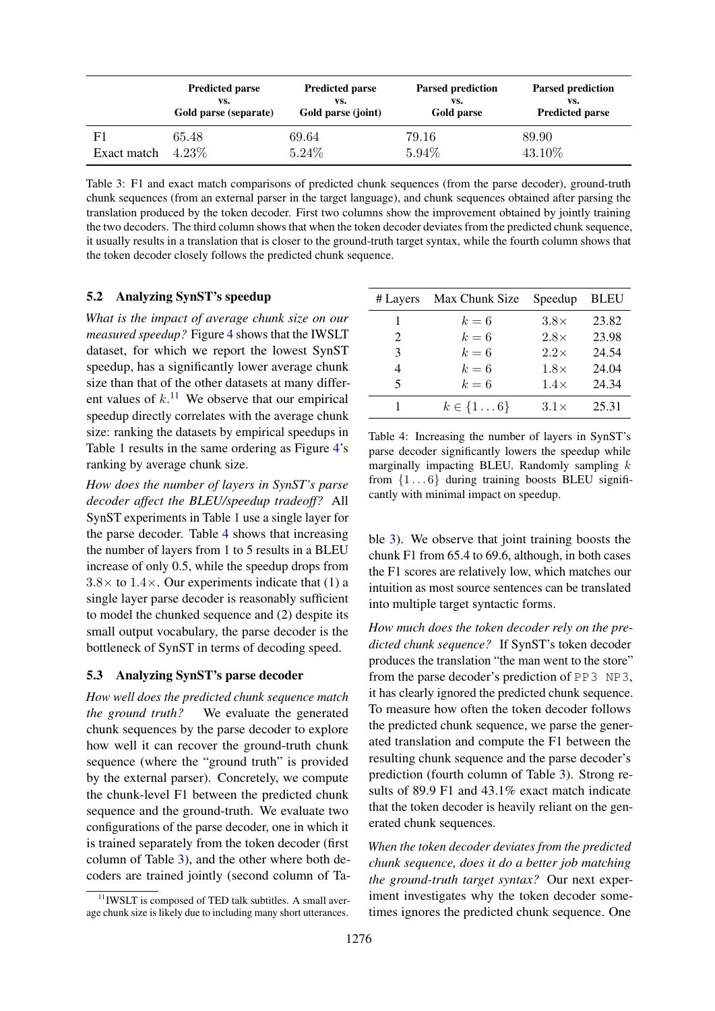<span id="page-7-2"></span>

|             | <b>Predicted parse</b> | <b>Predicted parse</b> | <b>Parsed prediction</b> | <b>Parsed prediction</b> |  |
|-------------|------------------------|------------------------|--------------------------|--------------------------|--|
|             | VS.                    | VS.                    | VS.                      | VS.                      |  |
|             | Gold parse (separate)  | Gold parse (joint)     | Gold parse               | <b>Predicted parse</b>   |  |
| Exact match | 65.48                  | 69.64                  | 79.16                    | 89.90                    |  |
|             | $4.23\%$               | 5.24%                  | 5.94%                    | 43.10%                   |  |

Table 3: F1 and exact match comparisons of predicted chunk sequences (from the parse decoder), ground-truth chunk sequences (from an external parser in the target language), and chunk sequences obtained after parsing the translation produced by the token decoder. First two columns show the improvement obtained by jointly training the two decoders. The third column shows that when the token decoder deviates from the predicted chunk sequence, it usually results in a translation that is closer to the ground-truth target syntax, while the fourth column shows that the token decoder closely follows the predicted chunk sequence.

### 5.2 Analyzing SynST's speedup

*What is the impact of average chunk size on our measured speedup?* Figure [4](#page-6-2) shows that the IWSLT dataset, for which we report the lowest SynST speedup, has a significantly lower average chunk size than that of the other datasets at many different values of  $k$ .<sup>[11](#page-7-1)</sup> We observe that our empirical speedup directly correlates with the average chunk size: ranking the datasets by empirical speedups in Table [1](#page-5-4) results in the same ordering as Figure [4'](#page-6-2)s ranking by average chunk size.

*How does the number of layers in SynST's parse decoder affect the BLEU/speedup tradeoff?* All SynST experiments in Table [1](#page-5-4) use a single layer for the parse decoder. Table [4](#page-7-0) shows that increasing the number of layers from 1 to 5 results in a BLEU increase of only 0.5, while the speedup drops from  $3.8\times$  to  $1.4\times$ . Our experiments indicate that (1) a single layer parse decoder is reasonably sufficient to model the chunked sequence and (2) despite its small output vocabulary, the parse decoder is the bottleneck of SynST in terms of decoding speed.

#### <span id="page-7-3"></span>5.3 Analyzing SynST's parse decoder

*How well does the predicted chunk sequence match the ground truth?* We evaluate the generated chunk sequences by the parse decoder to explore how well it can recover the ground-truth chunk sequence (where the "ground truth" is provided by the external parser). Concretely, we compute the chunk-level F1 between the predicted chunk sequence and the ground-truth. We evaluate two configurations of the parse decoder, one in which it is trained separately from the token decoder (first column of Table [3\)](#page-7-2), and the other where both decoders are trained jointly (second column of Ta-

<span id="page-7-0"></span>

| # Layers | Max Chunk Size | Speedup     | <b>BLEU</b> |
|----------|----------------|-------------|-------------|
| 1        | $k=6$          | $3.8\times$ | 23.82       |
| 2        | $k=6$          | $2.8\times$ | 23.98       |
| 3        | $k=6$          | $2.2\times$ | 24.54       |
| 4        | $k=6$          | $1.8\times$ | 24.04       |
| 5        | $k=6$          | $1.4\times$ | 24.34       |
|          | $k \in \{16\}$ | $3.1\times$ | 25.31       |

Table 4: Increasing the number of layers in SynST's parse decoder significantly lowers the speedup while marginally impacting BLEU. Randomly sampling  $k$ from  $\{1 \dots 6\}$  during training boosts BLEU significantly with minimal impact on speedup.

ble [3\)](#page-7-2). We observe that joint training boosts the chunk F1 from 65.4 to 69.6, although, in both cases the F1 scores are relatively low, which matches our intuition as most source sentences can be translated into multiple target syntactic forms.

*How much does the token decoder rely on the predicted chunk sequence?* If SynST's token decoder produces the translation "the man went to the store" from the parse decoder's prediction of PP3 NP3, it has clearly ignored the predicted chunk sequence. To measure how often the token decoder follows the predicted chunk sequence, we parse the generated translation and compute the F1 between the resulting chunk sequence and the parse decoder's prediction (fourth column of Table [3\)](#page-7-2). Strong results of 89.9 F1 and 43.1% exact match indicate that the token decoder is heavily reliant on the generated chunk sequences.

*When the token decoder deviates from the predicted chunk sequence, does it do a better job matching the ground-truth target syntax?* Our next experiment investigates why the token decoder sometimes ignores the predicted chunk sequence. One

<span id="page-7-1"></span> $11$  IWSLT is composed of TED talk subtitles. A small average chunk size is likely due to including many short utterances.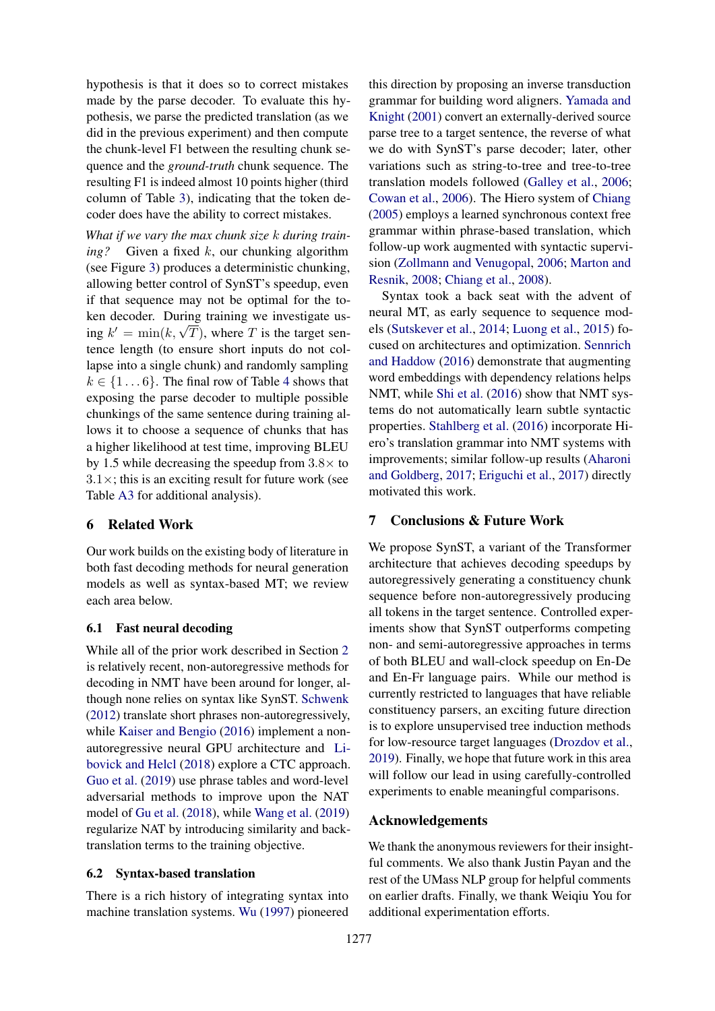hypothesis is that it does so to correct mistakes made by the parse decoder. To evaluate this hypothesis, we parse the predicted translation (as we did in the previous experiment) and then compute the chunk-level F1 between the resulting chunk sequence and the *ground-truth* chunk sequence. The resulting F1 is indeed almost 10 points higher (third column of Table [3\)](#page-7-2), indicating that the token decoder does have the ability to correct mistakes.

*What if we vary the max chunk size* k *during training?* Given a fixed k, our chunking algorithm (see Figure [3\)](#page-3-2) produces a deterministic chunking, allowing better control of SynST's speedup, even if that sequence may not be optimal for the token decoder. During training we investigate usken decoder. During training we investigate us-<br>ing  $k' = \min(k, \sqrt{T})$ , where T is the target sentence length (to ensure short inputs do not collapse into a single chunk) and randomly sampling  $k \in \{1 \dots 6\}$ . The final row of Table [4](#page-7-0) shows that exposing the parse decoder to multiple possible chunkings of the same sentence during training allows it to choose a sequence of chunks that has a higher likelihood at test time, improving BLEU by 1.5 while decreasing the speedup from  $3.8\times$  to  $3.1 \times$ ; this is an exciting result for future work (see Table [A3](#page-12-0) for additional analysis).

### 6 Related Work

Our work builds on the existing body of literature in both fast decoding methods for neural generation models as well as syntax-based MT; we review each area below.

### 6.1 Fast neural decoding

While all of the prior work described in Section [2](#page-1-1) is relatively recent, non-autoregressive methods for decoding in NMT have been around for longer, although none relies on syntax like SynST. [Schwenk](#page-9-11) [\(2012\)](#page-9-11) translate short phrases non-autoregressively, while [Kaiser and Bengio](#page-9-12) [\(2016\)](#page-9-12) implement a nonautoregressive neural GPU architecture and [Li](#page-9-13)[bovick and Helcl](#page-9-13) [\(2018\)](#page-9-13) explore a CTC approach. [Guo et al.](#page-9-14) [\(2019\)](#page-9-14) use phrase tables and word-level adversarial methods to improve upon the NAT model of [Gu et al.](#page-9-0) [\(2018\)](#page-9-0), while [Wang et al.](#page-10-6) [\(2019\)](#page-10-6) regularize NAT by introducing similarity and backtranslation terms to the training objective.

### 6.2 Syntax-based translation

There is a rich history of integrating syntax into machine translation systems. [Wu](#page-10-7) [\(1997\)](#page-10-7) pioneered

this direction by proposing an inverse transduction grammar for building word aligners. [Yamada and](#page-10-8) [Knight](#page-10-8) [\(2001\)](#page-10-8) convert an externally-derived source parse tree to a target sentence, the reverse of what we do with SynST's parse decoder; later, other variations such as string-to-tree and tree-to-tree translation models followed [\(Galley et al.,](#page-9-15) [2006;](#page-9-15) [Cowan et al.,](#page-9-16) [2006\)](#page-9-16). The Hiero system of [Chiang](#page-9-17) [\(2005\)](#page-9-17) employs a learned synchronous context free grammar within phrase-based translation, which follow-up work augmented with syntactic supervision [\(Zollmann and Venugopal,](#page-10-9) [2006;](#page-10-9) [Marton and](#page-9-18) [Resnik,](#page-9-18) [2008;](#page-9-18) [Chiang et al.,](#page-9-19) [2008\)](#page-9-19).

Syntax took a back seat with the advent of neural MT, as early sequence to sequence models [\(Sutskever et al.,](#page-10-10) [2014;](#page-10-10) [Luong et al.,](#page-9-20) [2015\)](#page-9-20) focused on architectures and optimization. [Sennrich](#page-10-11) [and Haddow](#page-10-11) [\(2016\)](#page-10-11) demonstrate that augmenting word embeddings with dependency relations helps NMT, while [Shi et al.](#page-10-12) [\(2016\)](#page-10-12) show that NMT systems do not automatically learn subtle syntactic properties. [Stahlberg et al.](#page-10-13) [\(2016\)](#page-10-13) incorporate Hiero's translation grammar into NMT systems with improvements; similar follow-up results [\(Aharoni](#page-9-3) [and Goldberg,](#page-9-3) [2017;](#page-9-3) [Eriguchi et al.,](#page-9-4) [2017\)](#page-9-4) directly motivated this work.

### 7 Conclusions & Future Work

We propose SynST, a variant of the Transformer architecture that achieves decoding speedups by autoregressively generating a constituency chunk sequence before non-autoregressively producing all tokens in the target sentence. Controlled experiments show that SynST outperforms competing non- and semi-autoregressive approaches in terms of both BLEU and wall-clock speedup on En-De and En-Fr language pairs. While our method is currently restricted to languages that have reliable constituency parsers, an exciting future direction is to explore unsupervised tree induction methods for low-resource target languages [\(Drozdov et al.,](#page-9-21) [2019\)](#page-9-21). Finally, we hope that future work in this area will follow our lead in using carefully-controlled experiments to enable meaningful comparisons.

#### Acknowledgements

We thank the anonymous reviewers for their insightful comments. We also thank Justin Payan and the rest of the UMass NLP group for helpful comments on earlier drafts. Finally, we thank Weiqiu You for additional experimentation efforts.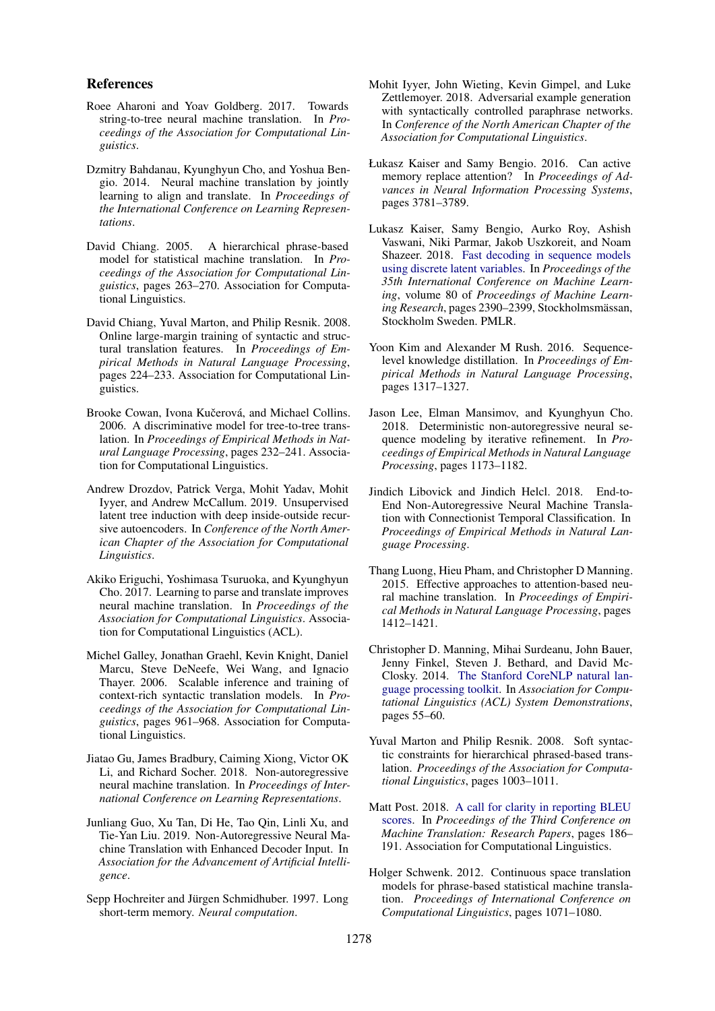#### References

- <span id="page-9-3"></span>Roee Aharoni and Yoav Goldberg. 2017. Towards string-to-tree neural machine translation. In *Proceedings of the Association for Computational Linguistics*.
- <span id="page-9-6"></span>Dzmitry Bahdanau, Kyunghyun Cho, and Yoshua Bengio. 2014. Neural machine translation by jointly learning to align and translate. In *Proceedings of the International Conference on Learning Representations*.
- <span id="page-9-17"></span>David Chiang. 2005. A hierarchical phrase-based model for statistical machine translation. In *Proceedings of the Association for Computational Linguistics*, pages 263–270. Association for Computational Linguistics.
- <span id="page-9-19"></span>David Chiang, Yuval Marton, and Philip Resnik. 2008. Online large-margin training of syntactic and structural translation features. In *Proceedings of Empirical Methods in Natural Language Processing*, pages 224–233. Association for Computational Linguistics.
- <span id="page-9-16"></span>Brooke Cowan, Ivona Kučerová, and Michael Collins. 2006. A discriminative model for tree-to-tree translation. In *Proceedings of Empirical Methods in Natural Language Processing*, pages 232–241. Association for Computational Linguistics.
- <span id="page-9-21"></span>Andrew Drozdov, Patrick Verga, Mohit Yadav, Mohit Iyyer, and Andrew McCallum. 2019. Unsupervised latent tree induction with deep inside-outside recursive autoencoders. In *Conference of the North American Chapter of the Association for Computational Linguistics*.
- <span id="page-9-4"></span>Akiko Eriguchi, Yoshimasa Tsuruoka, and Kyunghyun Cho. 2017. Learning to parse and translate improves neural machine translation. In *Proceedings of the Association for Computational Linguistics*. Association for Computational Linguistics (ACL).
- <span id="page-9-15"></span>Michel Galley, Jonathan Graehl, Kevin Knight, Daniel Marcu, Steve DeNeefe, Wei Wang, and Ignacio Thayer. 2006. Scalable inference and training of context-rich syntactic translation models. In *Proceedings of the Association for Computational Linguistics*, pages 961–968. Association for Computational Linguistics.
- <span id="page-9-0"></span>Jiatao Gu, James Bradbury, Caiming Xiong, Victor OK Li, and Richard Socher. 2018. Non-autoregressive neural machine translation. In *Proceedings of International Conference on Learning Representations*.
- <span id="page-9-14"></span>Junliang Guo, Xu Tan, Di He, Tao Qin, Linli Xu, and Tie-Yan Liu. 2019. Non-Autoregressive Neural Machine Translation with Enhanced Decoder Input. In *Association for the Advancement of Artificial Intelligence*.
- <span id="page-9-5"></span>Sepp Hochreiter and Jürgen Schmidhuber. 1997. Long short-term memory. *Neural computation*.
- <span id="page-9-8"></span>Mohit Iyyer, John Wieting, Kevin Gimpel, and Luke Zettlemoyer. 2018. Adversarial example generation with syntactically controlled paraphrase networks. In *Conference of the North American Chapter of the Association for Computational Linguistics*.
- <span id="page-9-12"></span>Łukasz Kaiser and Samy Bengio. 2016. Can active memory replace attention? In *Proceedings of Advances in Neural Information Processing Systems*, pages 3781–3789.
- <span id="page-9-2"></span>Lukasz Kaiser, Samy Bengio, Aurko Roy, Ashish Vaswani, Niki Parmar, Jakob Uszkoreit, and Noam Shazeer. 2018. [Fast decoding in sequence models](http://proceedings.mlr.press/v80/kaiser18a.html) [using discrete latent variables.](http://proceedings.mlr.press/v80/kaiser18a.html) In *Proceedings of the 35th International Conference on Machine Learning*, volume 80 of *Proceedings of Machine Learn*ing Research, pages 2390–2399, Stockholmsmässan, Stockholm Sweden. PMLR.
- <span id="page-9-7"></span>Yoon Kim and Alexander M Rush. 2016. Sequencelevel knowledge distillation. In *Proceedings of Empirical Methods in Natural Language Processing*, pages 1317–1327.
- <span id="page-9-1"></span>Jason Lee, Elman Mansimov, and Kyunghyun Cho. 2018. Deterministic non-autoregressive neural sequence modeling by iterative refinement. In *Proceedings of Empirical Methods in Natural Language Processing*, pages 1173–1182.
- <span id="page-9-13"></span>Jindich Libovick and Jindich Helcl. 2018. End-to-End Non-Autoregressive Neural Machine Translation with Connectionist Temporal Classification. In *Proceedings of Empirical Methods in Natural Language Processing*.
- <span id="page-9-20"></span>Thang Luong, Hieu Pham, and Christopher D Manning. 2015. Effective approaches to attention-based neural machine translation. In *Proceedings of Empirical Methods in Natural Language Processing*, pages 1412–1421.
- <span id="page-9-10"></span>Christopher D. Manning, Mihai Surdeanu, John Bauer, Jenny Finkel, Steven J. Bethard, and David Mc-Closky. 2014. [The Stanford CoreNLP natural lan](http://www.aclweb.org/anthology/P/P14/P14-5010)[guage processing toolkit.](http://www.aclweb.org/anthology/P/P14/P14-5010) In *Association for Computational Linguistics (ACL) System Demonstrations*, pages 55–60.
- <span id="page-9-18"></span>Yuval Marton and Philip Resnik. 2008. Soft syntactic constraints for hierarchical phrased-based translation. *Proceedings of the Association for Computational Linguistics*, pages 1003–1011.
- <span id="page-9-9"></span>Matt Post. 2018. [A call for clarity in reporting BLEU](http://aclweb.org/anthology/W18-6319) [scores.](http://aclweb.org/anthology/W18-6319) In *Proceedings of the Third Conference on Machine Translation: Research Papers*, pages 186– 191. Association for Computational Linguistics.
- <span id="page-9-11"></span>Holger Schwenk. 2012. Continuous space translation models for phrase-based statistical machine translation. *Proceedings of International Conference on Computational Linguistics*, pages 1071–1080.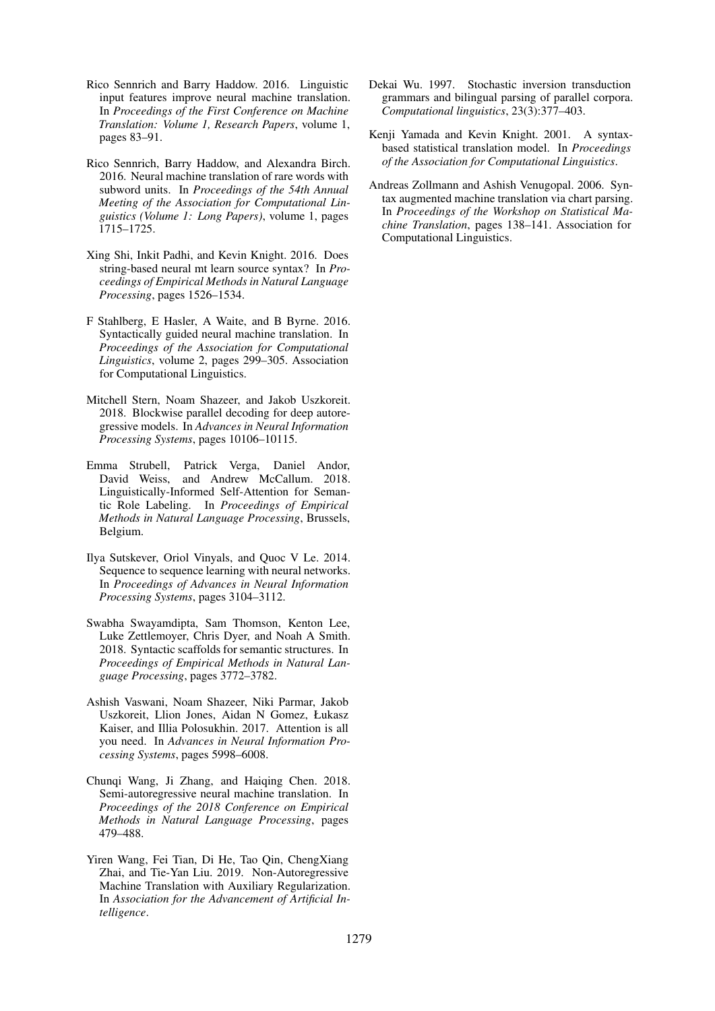- <span id="page-10-11"></span>Rico Sennrich and Barry Haddow. 2016. Linguistic input features improve neural machine translation. In *Proceedings of the First Conference on Machine Translation: Volume 1, Research Papers*, volume 1, pages 83–91.
- <span id="page-10-5"></span>Rico Sennrich, Barry Haddow, and Alexandra Birch. 2016. Neural machine translation of rare words with subword units. In *Proceedings of the 54th Annual Meeting of the Association for Computational Linguistics (Volume 1: Long Papers)*, volume 1, pages 1715–1725.
- <span id="page-10-12"></span>Xing Shi, Inkit Padhi, and Kevin Knight. 2016. Does string-based neural mt learn source syntax? In *Proceedings of Empirical Methods in Natural Language Processing*, pages 1526–1534.
- <span id="page-10-13"></span>F Stahlberg, E Hasler, A Waite, and B Byrne. 2016. Syntactically guided neural machine translation. In *Proceedings of the Association for Computational Linguistics*, volume 2, pages 299–305. Association for Computational Linguistics.
- <span id="page-10-2"></span>Mitchell Stern, Noam Shazeer, and Jakob Uszkoreit. 2018. Blockwise parallel decoding for deep autoregressive models. In *Advances in Neural Information Processing Systems*, pages 10106–10115.
- <span id="page-10-3"></span>Emma Strubell, Patrick Verga, Daniel Andor, David Weiss, and Andrew McCallum. 2018. Linguistically-Informed Self-Attention for Semantic Role Labeling. In *Proceedings of Empirical Methods in Natural Language Processing*, Brussels, Belgium.
- <span id="page-10-10"></span>Ilya Sutskever, Oriol Vinyals, and Quoc V Le. 2014. Sequence to sequence learning with neural networks. In *Proceedings of Advances in Neural Information Processing Systems*, pages 3104–3112.
- <span id="page-10-4"></span>Swabha Swayamdipta, Sam Thomson, Kenton Lee, Luke Zettlemoyer, Chris Dyer, and Noah A Smith. 2018. Syntactic scaffolds for semantic structures. In *Proceedings of Empirical Methods in Natural Language Processing*, pages 3772–3782.
- <span id="page-10-0"></span>Ashish Vaswani, Noam Shazeer, Niki Parmar, Jakob Uszkoreit, Llion Jones, Aidan N Gomez, Łukasz Kaiser, and Illia Polosukhin. 2017. Attention is all you need. In *Advances in Neural Information Processing Systems*, pages 5998–6008.
- <span id="page-10-1"></span>Chunqi Wang, Ji Zhang, and Haiqing Chen. 2018. Semi-autoregressive neural machine translation. In *Proceedings of the 2018 Conference on Empirical Methods in Natural Language Processing*, pages 479–488.
- <span id="page-10-6"></span>Yiren Wang, Fei Tian, Di He, Tao Qin, ChengXiang Zhai, and Tie-Yan Liu. 2019. Non-Autoregressive Machine Translation with Auxiliary Regularization. In *Association for the Advancement of Artificial Intelligence*.
- <span id="page-10-7"></span>Dekai Wu. 1997. Stochastic inversion transduction grammars and bilingual parsing of parallel corpora. *Computational linguistics*, 23(3):377–403.
- <span id="page-10-8"></span>Kenji Yamada and Kevin Knight. 2001. A syntaxbased statistical translation model. In *Proceedings of the Association for Computational Linguistics*.
- <span id="page-10-9"></span>Andreas Zollmann and Ashish Venugopal. 2006. Syntax augmented machine translation via chart parsing. In *Proceedings of the Workshop on Statistical Machine Translation*, pages 138–141. Association for Computational Linguistics.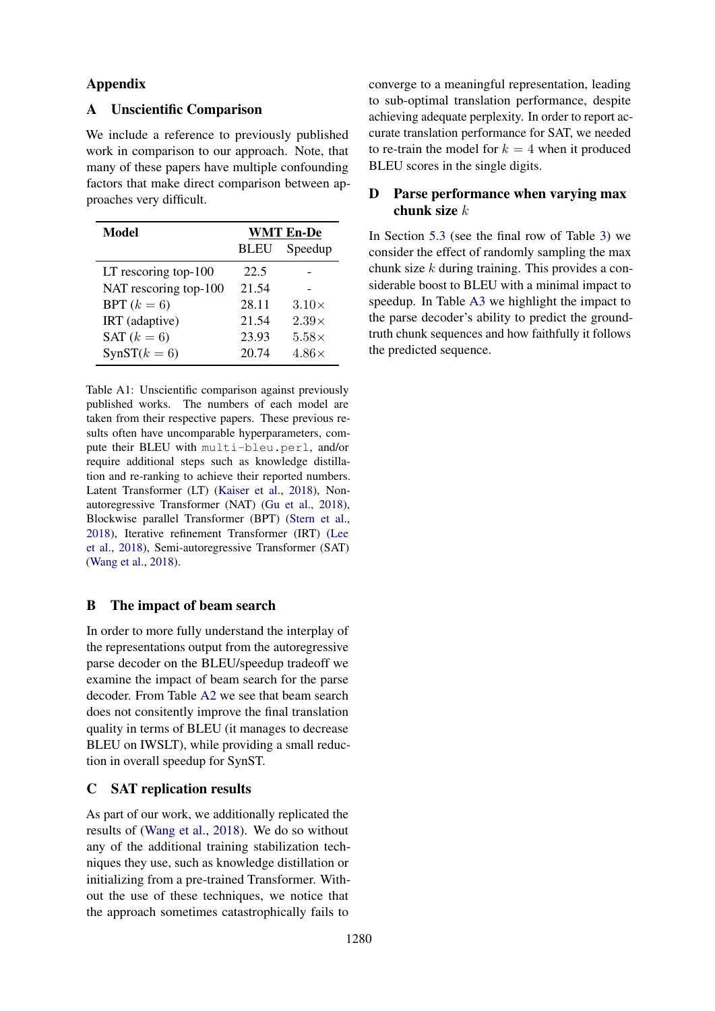## Appendix

# A Unscientific Comparison

We include a reference to previously published work in comparison to our approach. Note, that many of these papers have multiple confounding factors that make direct comparison between approaches very difficult.

<span id="page-11-0"></span>

| Model                   | <b>WMT En-De</b> |              |  |  |
|-------------------------|------------------|--------------|--|--|
|                         | <b>BLEU</b>      | Speedup      |  |  |
| LT rescoring top- $100$ | 22.5             |              |  |  |
| NAT rescoring top-100   | 21.54            |              |  |  |
| BPT $(k = 6)$           | 28.11            | $3.10\times$ |  |  |
| IRT (adaptive)          | 21.54            | $2.39\times$ |  |  |
| SAT $(k=6)$             | 23.93            | $5.58\times$ |  |  |
| $SynST(k = 6)$          | 20.74            | $4.86\times$ |  |  |

Table A1: Unscientific comparison against previously published works. The numbers of each model are taken from their respective papers. These previous results often have uncomparable hyperparameters, compute their BLEU with multi-bleu.perl, and/or require additional steps such as knowledge distillation and re-ranking to achieve their reported numbers. Latent Transformer (LT) [\(Kaiser et al.,](#page-9-2) [2018\)](#page-9-2), Nonautoregressive Transformer (NAT) [\(Gu et al.,](#page-9-0) [2018\)](#page-9-0), Blockwise parallel Transformer (BPT) [\(Stern et al.,](#page-10-2) [2018\)](#page-10-2), Iterative refinement Transformer (IRT) [\(Lee](#page-9-1) [et al.,](#page-9-1) [2018\)](#page-9-1), Semi-autoregressive Transformer (SAT) [\(Wang et al.,](#page-10-1) [2018\)](#page-10-1).

### B The impact of beam search

In order to more fully understand the interplay of the representations output from the autoregressive parse decoder on the BLEU/speedup tradeoff we examine the impact of beam search for the parse decoder. From Table [A2](#page-12-1) we see that beam search does not consitently improve the final translation quality in terms of BLEU (it manages to decrease BLEU on IWSLT), while providing a small reduction in overall speedup for SynST.

### C SAT replication results

As part of our work, we additionally replicated the results of [\(Wang et al.,](#page-10-1) [2018\)](#page-10-1). We do so without any of the additional training stabilization techniques they use, such as knowledge distillation or initializing from a pre-trained Transformer. Without the use of these techniques, we notice that the approach sometimes catastrophically fails to

converge to a meaningful representation, leading to sub-optimal translation performance, despite achieving adequate perplexity. In order to report accurate translation performance for SAT, we needed to re-train the model for  $k = 4$  when it produced BLEU scores in the single digits.

# D Parse performance when varying max chunk size  $k$

In Section [5.3](#page-7-3) (see the final row of Table [3\)](#page-7-2) we consider the effect of randomly sampling the max chunk size k during training. This provides a considerable boost to BLEU with a minimal impact to speedup. In Table [A3](#page-12-0) we highlight the impact to the parse decoder's ability to predict the groundtruth chunk sequences and how faithfully it follows the predicted sequence.